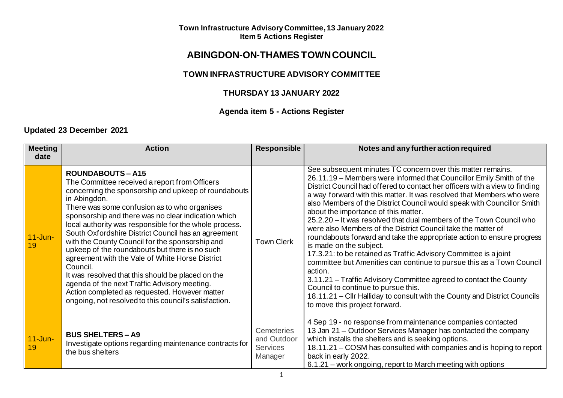# **ABINGDON-ON-THAMES TOWN COUNCIL**

### **TOWN INFRASTRUCTURE ADVISORY COMMITTEE**

## **THURSDAY 13 JANUARY 2022**

# **Agenda item 5 - Actions Register**

### **Updated 23 December 2021**

| <b>Meeting</b><br>date | <b>Action</b>                                                                                                                                                                                                                                                                                                                                                                                                                                                                                                                                                                                                                                                                                                                                              | <b>Responsible</b>                                             | Notes and any further action required                                                                                                                                                                                                                                                                                                                                                                                                                                                                                                                                                                                                                                                                                                                                                                                                                                                                                                                                                                                                      |
|------------------------|------------------------------------------------------------------------------------------------------------------------------------------------------------------------------------------------------------------------------------------------------------------------------------------------------------------------------------------------------------------------------------------------------------------------------------------------------------------------------------------------------------------------------------------------------------------------------------------------------------------------------------------------------------------------------------------------------------------------------------------------------------|----------------------------------------------------------------|--------------------------------------------------------------------------------------------------------------------------------------------------------------------------------------------------------------------------------------------------------------------------------------------------------------------------------------------------------------------------------------------------------------------------------------------------------------------------------------------------------------------------------------------------------------------------------------------------------------------------------------------------------------------------------------------------------------------------------------------------------------------------------------------------------------------------------------------------------------------------------------------------------------------------------------------------------------------------------------------------------------------------------------------|
| $11$ -Jun-<br>19       | <b>ROUNDABOUTS-A15</b><br>The Committee received a report from Officers<br>concerning the sponsorship and upkeep of roundabouts<br>in Abingdon.<br>There was some confusion as to who organises<br>sponsorship and there was no clear indication which<br>local authority was responsible for the whole process.<br>South Oxfordshire District Council has an agreement<br>with the County Council for the sponsorship and<br>upkeep of the roundabouts but there is no such<br>agreement with the Vale of White Horse District<br>Council.<br>It was resolved that this should be placed on the<br>agenda of the next Traffic Advisory meeting.<br>Action completed as requested. However matter<br>ongoing, not resolved to this council's satisfaction. | <b>Town Clerk</b>                                              | See subsequent minutes TC concern over this matter remains.<br>26.11.19 - Members were informed that Councillor Emily Smith of the<br>District Council had offered to contact her officers with a view to finding<br>a way forward with this matter. It was resolved that Members who were<br>also Members of the District Council would speak with Councillor Smith<br>about the importance of this matter.<br>25.2.20 - It was resolved that dual members of the Town Council who<br>were also Members of the District Council take the matter of<br>roundabouts forward and take the appropriate action to ensure progress<br>is made on the subject.<br>17.3.21: to be retained as Traffic Advisory Committee is a joint<br>committee but Amenities can continue to pursue this as a Town Council<br>action.<br>3.11.21 – Traffic Advisory Committee agreed to contact the County<br>Council to continue to pursue this.<br>18.11.21 – Cllr Halliday to consult with the County and District Councils<br>to move this project forward. |
| $11$ -Jun-<br>19       | <b>BUS SHELTERS - A9</b><br>Investigate options regarding maintenance contracts for<br>the bus shelters                                                                                                                                                                                                                                                                                                                                                                                                                                                                                                                                                                                                                                                    | <b>Cemeteries</b><br>and Outdoor<br><b>Services</b><br>Manager | 4 Sep 19 - no response from maintenance companies contacted<br>13 Jan 21 – Outdoor Services Manager has contacted the company<br>which installs the shelters and is seeking options.<br>18.11.21 – COSM has consulted with companies and is hoping to report<br>back in early 2022.<br>6.1.21 – work ongoing, report to March meeting with options                                                                                                                                                                                                                                                                                                                                                                                                                                                                                                                                                                                                                                                                                         |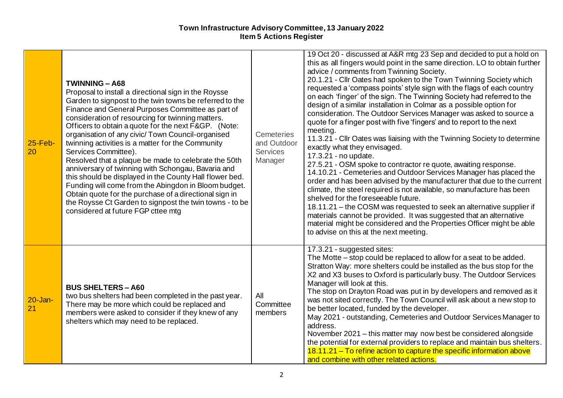| $25$ -Feb-<br>20   | <b>TWINNING - A68</b><br>Proposal to install a directional sign in the Roysse<br>Garden to signpost to the twin towns be referred to the<br>Finance and General Purposes Committee as part of<br>consideration of resourcing for twinning matters.<br>Officers to obtain a quote for the next F&GP. (Note:<br>organisation of any civic/ Town Council-organised<br>twinning activities is a matter for the Community<br>Services Committee).<br>Resolved that a plaque be made to celebrate the 50th<br>anniversary of twinning with Schongau, Bavaria and<br>this should be displayed in the County Hall flower bed.<br>Funding will come from the Abingdon in Bloom budget.<br>Obtain quote for the purchase of a directional sign in<br>the Roysse Ct Garden to signpost the twin towns - to be<br>considered at future FGP cttee mtg | <b>Cemeteries</b><br>and Outdoor<br><b>Services</b><br>Manager | 19 Oct 20 - discussed at A&R mtg 23 Sep and decided to put a hold on<br>this as all fingers would point in the same direction. LO to obtain further<br>advice / comments from Twinning Society.<br>20.1.21 - Cllr Oates had spoken to the Town Twinning Society which<br>requested a 'compass points' style sign with the flags of each country<br>on each 'finger' of the sign. The Twinning Society had referred to the<br>design of a similar installation in Colmar as a possible option for<br>consideration. The Outdoor Services Manager was asked to source a<br>quote for a finger post with five 'fingers' and to report to the next<br>meeting.<br>11.3.21 - Cllr Oates was liaising with the Twinning Society to determine<br>exactly what they envisaged.<br>17.3.21 - no update.<br>27.5.21 - OSM spoke to contractor re quote, awaiting response.<br>14.10.21 - Cemeteries and Outdoor Services Manager has placed the<br>order and has been advised by the manufacturer that due to the current<br>climate, the steel required is not available, so manufacture has been<br>shelved for the foreseeable future.<br>18.11.21 - the COSM was requested to seek an alternative supplier if<br>materials cannot be provided. It was suggested that an alternative<br>material might be considered and the Properties Officer might be able<br>to advise on this at the next meeting. |
|--------------------|------------------------------------------------------------------------------------------------------------------------------------------------------------------------------------------------------------------------------------------------------------------------------------------------------------------------------------------------------------------------------------------------------------------------------------------------------------------------------------------------------------------------------------------------------------------------------------------------------------------------------------------------------------------------------------------------------------------------------------------------------------------------------------------------------------------------------------------|----------------------------------------------------------------|--------------------------------------------------------------------------------------------------------------------------------------------------------------------------------------------------------------------------------------------------------------------------------------------------------------------------------------------------------------------------------------------------------------------------------------------------------------------------------------------------------------------------------------------------------------------------------------------------------------------------------------------------------------------------------------------------------------------------------------------------------------------------------------------------------------------------------------------------------------------------------------------------------------------------------------------------------------------------------------------------------------------------------------------------------------------------------------------------------------------------------------------------------------------------------------------------------------------------------------------------------------------------------------------------------------------------------------------------------------------------------------------------|
| $20 - Jan -$<br>21 | <b>BUS SHELTERS - A60</b><br>two bus shelters had been completed in the past year.<br>There may be more which could be replaced and<br>members were asked to consider if they knew of any<br>shelters which may need to be replaced.                                                                                                                                                                                                                                                                                                                                                                                                                                                                                                                                                                                                     | All<br>Committee<br>members                                    | 17.3.21 - suggested sites:<br>The Motte – stop could be replaced to allow for a seat to be added.<br>Stratton Way: more shelters could be installed as the bus stop for the<br>X2 and X3 buses to Oxford is particularly busy. The Outdoor Services<br>Manager will look at this.<br>The stop on Drayton Road was put in by developers and removed as it<br>was not sited correctly. The Town Council will ask about a new stop to<br>be better located, funded by the developer.<br>May 2021 - outstanding, Cemeteries and Outdoor Services Manager to<br>address.<br>November 2021 - this matter may now best be considered alongside<br>the potential for external providers to replace and maintain bus shelters.<br>18.11.21 – To refine action to capture the specific information above<br>and combine with other related actions.                                                                                                                                                                                                                                                                                                                                                                                                                                                                                                                                                        |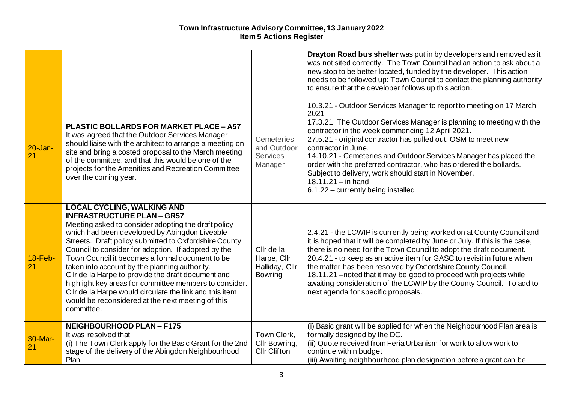|                    |                                                                                                                                                                                                                                                                                                                                                                                                                                                                                                                                                                                                                                                  |                                                               | Drayton Road bus shelter was put in by developers and removed as it<br>was not sited correctly. The Town Council had an action to ask about a<br>new stop to be better located, funded by the developer. This action<br>needs to be followed up: Town Council to contact the planning authority<br>to ensure that the developer follows up this action.                                                                                                                                                                                                          |
|--------------------|--------------------------------------------------------------------------------------------------------------------------------------------------------------------------------------------------------------------------------------------------------------------------------------------------------------------------------------------------------------------------------------------------------------------------------------------------------------------------------------------------------------------------------------------------------------------------------------------------------------------------------------------------|---------------------------------------------------------------|------------------------------------------------------------------------------------------------------------------------------------------------------------------------------------------------------------------------------------------------------------------------------------------------------------------------------------------------------------------------------------------------------------------------------------------------------------------------------------------------------------------------------------------------------------------|
| $20 - Jan -$<br>21 | <b>PLASTIC BOLLARDS FOR MARKET PLACE - A57</b><br>It was agreed that the Outdoor Services Manager<br>should liaise with the architect to arrange a meeting on<br>site and bring a costed proposal to the March meeting<br>of the committee, and that this would be one of the<br>projects for the Amenities and Recreation Committee<br>over the coming year.                                                                                                                                                                                                                                                                                    | <b>Cemeteries</b><br>and Outdoor<br>Services<br>Manager       | 10.3.21 - Outdoor Services Manager to report to meeting on 17 March<br>2021<br>17.3.21: The Outdoor Services Manager is planning to meeting with the<br>contractor in the week commencing 12 April 2021.<br>27.5.21 - original contractor has pulled out, OSM to meet new<br>contractor in June.<br>14.10.21 - Cemeteries and Outdoor Services Manager has placed the<br>order with the preferred contractor, who has ordered the bollards.<br>Subject to delivery, work should start in November.<br>$18.11.21 - in hand$<br>6.1.22 - currently being installed |
| $18$ -Feb-<br>21   | <b>LOCAL CYCLING, WALKING AND</b><br><b>INFRASTRUCTURE PLAN - GR57</b><br>Meeting asked to consider adopting the draft policy<br>which had been developed by Abingdon Liveable<br>Streets. Draft policy submitted to Oxfordshire County<br>Council to consider for adoption. If adopted by the<br>Town Council it becomes a formal document to be<br>taken into account by the planning authority.<br>Cllr de la Harpe to provide the draft document and<br>highlight key areas for committee members to consider.<br>Cllr de la Harpe would circulate the link and this item<br>would be reconsidered at the next meeting of this<br>committee. | Cllr de la<br>Harpe, Cllr<br>Halliday, Cllr<br><b>Bowring</b> | 2.4.21 - the LCWIP is currently being worked on at County Council and<br>it is hoped that it will be completed by June or July. If this is the case,<br>there is no need for the Town Council to adopt the draft document.<br>20.4.21 - to keep as an active item for GASC to revisit in future when<br>the matter has been resolved by Oxfordshire County Council.<br>18.11.21 - noted that it may be good to proceed with projects while<br>awaiting consideration of the LCWIP by the County Council. To add to<br>next agenda for specific proposals.        |
| 30-Mar-<br>21      | <b>NEIGHBOURHOOD PLAN-F175</b><br>It was resolved that:<br>(i) The Town Clerk apply for the Basic Grant for the 2nd<br>stage of the delivery of the Abingdon Neighbourhood<br>Plan                                                                                                                                                                                                                                                                                                                                                                                                                                                               | Town Clerk,<br>Cllr Bowring,<br><b>Cllr Clifton</b>           | (i) Basic grant will be applied for when the Neighbourhood Plan area is<br>formally designed by the DC.<br>(ii) Quote received from Feria Urbanism for work to allow work to<br>continue within budget<br>(iii) Awaiting neighbourhood plan designation before a grant can be                                                                                                                                                                                                                                                                                    |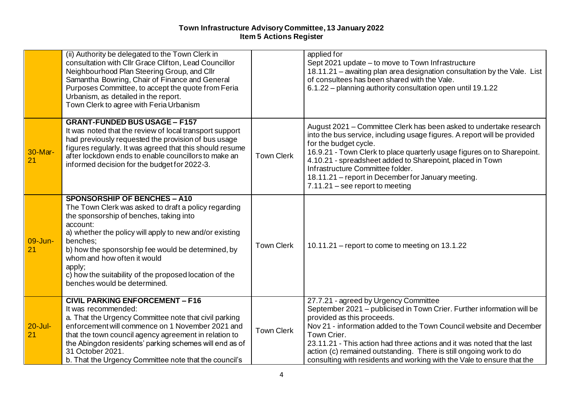|                   | (ii) Authority be delegated to the Town Clerk in<br>consultation with Cllr Grace Clifton, Lead Councillor<br>Neighbourhood Plan Steering Group, and Cllr<br>Samantha Bowring, Chair of Finance and General<br>Purposes Committee, to accept the quote from Feria<br>Urbanism, as detailed in the report.<br>Town Clerk to agree with Feria Urbanism                                                                |                   | applied for<br>Sept 2021 update - to move to Town Infrastructure<br>18.11.21 - awaiting plan area designation consultation by the Vale. List<br>of consultees has been shared with the Vale.<br>6.1.22 – planning authority consultation open until 19.1.22                                                                                                                                                                                                    |
|-------------------|--------------------------------------------------------------------------------------------------------------------------------------------------------------------------------------------------------------------------------------------------------------------------------------------------------------------------------------------------------------------------------------------------------------------|-------------------|----------------------------------------------------------------------------------------------------------------------------------------------------------------------------------------------------------------------------------------------------------------------------------------------------------------------------------------------------------------------------------------------------------------------------------------------------------------|
| 30-Mar-<br>21     | <b>GRANT-FUNDED BUS USAGE - F157</b><br>It was noted that the review of local transport support<br>had previously requested the provision of bus usage<br>figures regularly. It was agreed that this should resume<br>after lockdown ends to enable councillors to make an<br>informed decision for the budget for 2022-3.                                                                                         | <b>Town Clerk</b> | August 2021 – Committee Clerk has been asked to undertake research<br>into the bus service, including usage figures. A report will be provided<br>for the budget cycle.<br>16.9.21 - Town Clerk to place quarterly usage figures on to Sharepoint.<br>4.10.21 - spreadsheet added to Sharepoint, placed in Town<br>Infrastructure Committee folder.<br>18.11.21 - report in December for January meeting.<br>$7.11.21$ – see report to meeting                 |
| 09-Jun-<br>21     | <b>SPONSORSHIP OF BENCHES - A10</b><br>The Town Clerk was asked to draft a policy regarding<br>the sponsorship of benches, taking into<br>account:<br>a) whether the policy will apply to new and/or existing<br>benches;<br>b) how the sponsorship fee would be determined, by<br>whom and how often it would<br>apply;<br>c) how the suitability of the proposed location of the<br>benches would be determined. | <b>Town Clerk</b> | 10.11.21 – report to come to meeting on 13.1.22                                                                                                                                                                                                                                                                                                                                                                                                                |
| $20 -$ Jul-<br>21 | <b>CIVIL PARKING ENFORCEMENT - F16</b><br>It was recommended:<br>a. That the Urgency Committee note that civil parking<br>enforcement will commence on 1 November 2021 and<br>that the town council agency agreement in relation to<br>the Abingdon residents' parking schemes will end as of<br>31 October 2021.<br>b. That the Urgency Committee note that the council's                                         | <b>Town Clerk</b> | 27.7.21 - agreed by Urgency Committee<br>September 2021 - publicised in Town Crier. Further information will be<br>provided as this proceeds.<br>Nov 21 - information added to the Town Council website and December<br>Town Crier.<br>23.11.21 - This action had three actions and it was noted that the last<br>action (c) remained outstanding. There is still ongoing work to do<br>consulting with residents and working with the Vale to ensure that the |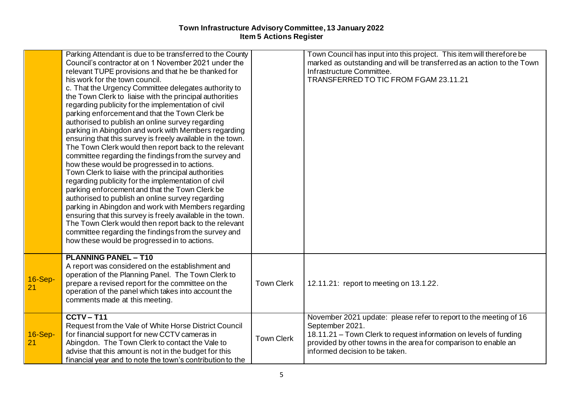|                      | Parking Attendant is due to be transferred to the County<br>Council's contractor at on 1 November 2021 under the<br>relevant TUPE provisions and that he be thanked for<br>his work for the town council.<br>c. That the Urgency Committee delegates authority to<br>the Town Clerk to liaise with the principal authorities<br>regarding publicity for the implementation of civil<br>parking enforcement and that the Town Clerk be<br>authorised to publish an online survey regarding<br>parking in Abingdon and work with Members regarding<br>ensuring that this survey is freely available in the town.<br>The Town Clerk would then report back to the relevant<br>committee regarding the findings from the survey and<br>how these would be progressed in to actions.<br>Town Clerk to liaise with the principal authorities<br>regarding publicity for the implementation of civil<br>parking enforcement and that the Town Clerk be<br>authorised to publish an online survey regarding<br>parking in Abingdon and work with Members regarding<br>ensuring that this survey is freely available in the town.<br>The Town Clerk would then report back to the relevant |                   | Town Council has input into this project. This item will therefore be<br>marked as outstanding and will be transferred as an action to the Town<br>Infrastructure Committee.<br>TRANSFERRED TO TIC FROM FGAM 23.11.21                                          |
|----------------------|-----------------------------------------------------------------------------------------------------------------------------------------------------------------------------------------------------------------------------------------------------------------------------------------------------------------------------------------------------------------------------------------------------------------------------------------------------------------------------------------------------------------------------------------------------------------------------------------------------------------------------------------------------------------------------------------------------------------------------------------------------------------------------------------------------------------------------------------------------------------------------------------------------------------------------------------------------------------------------------------------------------------------------------------------------------------------------------------------------------------------------------------------------------------------------------|-------------------|----------------------------------------------------------------------------------------------------------------------------------------------------------------------------------------------------------------------------------------------------------------|
|                      | committee regarding the findings from the survey and<br>how these would be progressed in to actions.                                                                                                                                                                                                                                                                                                                                                                                                                                                                                                                                                                                                                                                                                                                                                                                                                                                                                                                                                                                                                                                                              |                   |                                                                                                                                                                                                                                                                |
| <b>16-Sep-</b><br>21 | <b>PLANNING PANEL - T10</b><br>A report was considered on the establishment and<br>operation of the Planning Panel. The Town Clerk to<br>prepare a revised report for the committee on the<br>operation of the panel which takes into account the<br>comments made at this meeting.                                                                                                                                                                                                                                                                                                                                                                                                                                                                                                                                                                                                                                                                                                                                                                                                                                                                                               | <b>Town Clerk</b> | 12.11.21: report to meeting on 13.1.22.                                                                                                                                                                                                                        |
| $16-Sep-$<br>21      | $CCTV - T11$<br>Request from the Vale of White Horse District Council<br>for financial support for new CCTV cameras in<br>Abingdon. The Town Clerk to contact the Vale to<br>advise that this amount is not in the budget for this<br>financial year and to note the town's contribution to the                                                                                                                                                                                                                                                                                                                                                                                                                                                                                                                                                                                                                                                                                                                                                                                                                                                                                   | <b>Town Clerk</b> | November 2021 update: please refer to report to the meeting of 16<br>September 2021.<br>18.11.21 – Town Clerk to request information on levels of funding<br>provided by other towns in the area for comparison to enable an<br>informed decision to be taken. |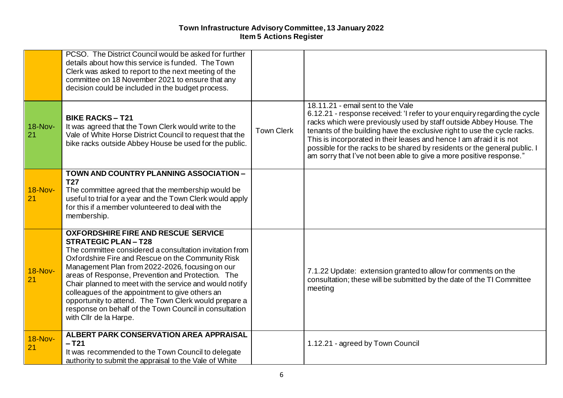|                      | PCSO. The District Council would be asked for further<br>details about how this service is funded. The Town<br>Clerk was asked to report to the next meeting of the<br>committee on 18 November 2021 to ensure that any<br>decision could be included in the budget process.                                                                                                                                                                                                                                                                               |                   |                                                                                                                                                                                                                                                                                                                                                                                                                                                                                              |
|----------------------|------------------------------------------------------------------------------------------------------------------------------------------------------------------------------------------------------------------------------------------------------------------------------------------------------------------------------------------------------------------------------------------------------------------------------------------------------------------------------------------------------------------------------------------------------------|-------------------|----------------------------------------------------------------------------------------------------------------------------------------------------------------------------------------------------------------------------------------------------------------------------------------------------------------------------------------------------------------------------------------------------------------------------------------------------------------------------------------------|
| <b>18-Nov-</b><br>21 | <b>BIKE RACKS-T21</b><br>It was agreed that the Town Clerk would write to the<br>Vale of White Horse District Council to request that the<br>bike racks outside Abbey House be used for the public.                                                                                                                                                                                                                                                                                                                                                        | <b>Town Clerk</b> | 18.11.21 - email sent to the Vale<br>6.12.21 - response received: 'I refer to your enquiry regarding the cycle<br>racks which were previously used by staff outside Abbey House. The<br>tenants of the building have the exclusive right to use the cycle racks.<br>This is incorporated in their leases and hence I am afraid it is not<br>possible for the racks to be shared by residents or the general public. I<br>am sorry that I've not been able to give a more positive response." |
| <b>18-Nov-</b><br>21 | TOWN AND COUNTRY PLANNING ASSOCIATION -<br><b>T27</b><br>The committee agreed that the membership would be<br>useful to trial for a year and the Town Clerk would apply<br>for this if a member volunteered to deal with the<br>membership.                                                                                                                                                                                                                                                                                                                |                   |                                                                                                                                                                                                                                                                                                                                                                                                                                                                                              |
| <b>18-Nov-</b><br>21 | <b>OXFORDSHIRE FIRE AND RESCUE SERVICE</b><br><b>STRATEGIC PLAN-T28</b><br>The committee considered a consultation invitation from<br>Oxfordshire Fire and Rescue on the Community Risk<br>Management Plan from 2022-2026, focusing on our<br>areas of Response, Prevention and Protection. The<br>Chair planned to meet with the service and would notify<br>colleagues of the appointment to give others an<br>opportunity to attend. The Town Clerk would prepare a<br>response on behalf of the Town Council in consultation<br>with Cllr de la Harpe. |                   | 7.1.22 Update: extension granted to allow for comments on the<br>consultation; these will be submitted by the date of the TI Committee<br>meeting                                                                                                                                                                                                                                                                                                                                            |
| <b>18-Nov-</b><br>21 | <b>ALBERT PARK CONSERVATION AREA APPRAISAL</b><br>$-$ T <sub>21</sub><br>It was recommended to the Town Council to delegate<br>authority to submit the appraisal to the Vale of White                                                                                                                                                                                                                                                                                                                                                                      |                   | 1.12.21 - agreed by Town Council                                                                                                                                                                                                                                                                                                                                                                                                                                                             |